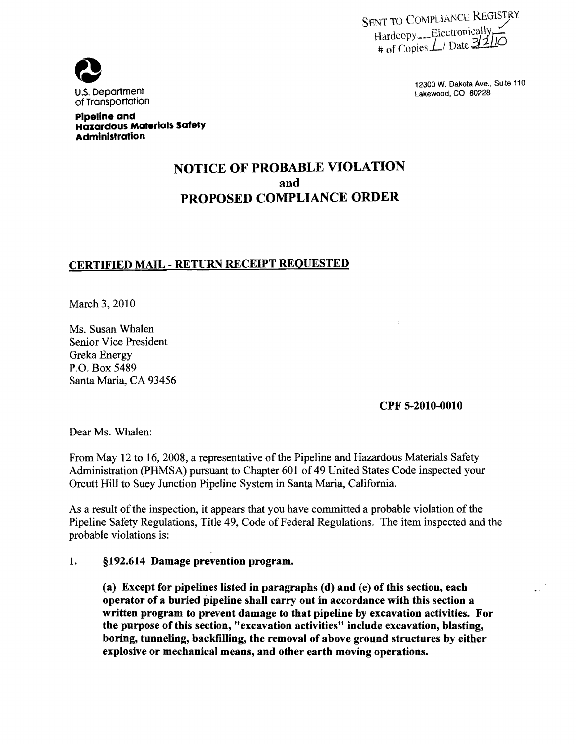SENT TO COMPLIANCE REGISTRY  $\text{Hardcopy}$ --Electronically



12300 W. Dakota Ave., Suite 110

#### Pipeline **and**  Hazardous Materials Safety Administration

# NOTICE OF PROBABLE VIOLATION and PROPOSED COMPLIANCE ORDER

## CERTIFIED MAIL - RETURN RECEIPT REQUESTED

March 3,2010

Ms. Susan Whalen Senior Vice President Greka Energy P.O. Box 5489 Santa Maria, CA 93456

CPF 5-2010-0010

Dear Ms. Whalen:

From May 12 to 16, 2008, a representative of the Pipeline and Hazardous Materials Safety Administration (PHMSA) pursuant to Chapter 601 of 49 United States Code inspected your Orcutt Hill to Suey Junction Pipeline System in Santa Maria, California.

As a result of the inspection, it appears that you have committed a probable violation of the Pipeline Safety Regulations, Title 49, Code of Federal Regulations. The item inspected and the probable violations is:

#### 1. §192.614 Damage prevention program.

(a) Except for pipelines listed in paragraphs (d) and (e) of this section, each operator of a buried pipeline shall carry out in accordance with this section a written program to prevent damage to that pipeline by excavation activities. For the purpose of this section, "excavation activities" include excavation, blasting, boring, tunneling, backfilling, the removal of above ground structures by either explosive or mechanical means, and other earth moving operations.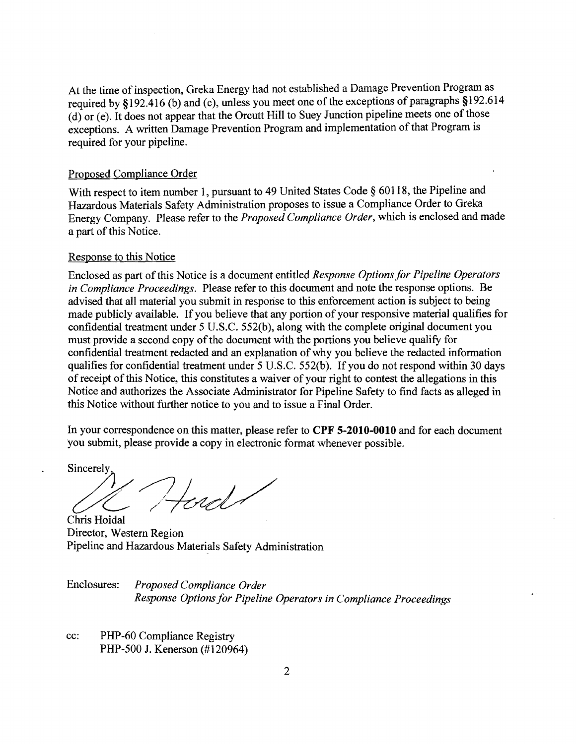At the time of inspection, Greka Energy had not established a Damage Prevention Program as required by §192.416 (b) and (c), unless you meet one of the exceptions of paragraphs §192.614  $(d)$  or (e). It does not appear that the Orcutt Hill to Suey Junction pipeline meets one of those exceptions. A written Damage Prevention Program and implementation of that Program is required for your pipeline.

### Proposed Compliance Order

With respect to item number 1, pursuant to 49 United States Code § 60118, the Pipeline and Hazardous Materials Safety Administration proposes to issue a Compliance Order to Greka Energy Company. Please refer to the *Proposed Compliance Order,* which is enclosed and made a part of this Notice.

#### Response to this Notice

Enclosed as part ofthis Notice is a document entitled *Response Options for Pipeline Operators in Compliance Proceedings.* Please refer to this document and note the response options. Be advised that all material you submit in response to this enforcement action is subject to being made publicly available. If you believe that any portion of your responsive material qualifies for confidential treatment under 5 U.S.C. 552(b), along with the complete original document you must provide a second copy of the document with the portions you believe qualify for confidential treatment redacted and an explanation of why you believe the redacted information qualifies for confidential treatment under 5 U.S.C. 552(b). If you do not respond within 30 days of receipt of this Notice, this constitutes a waiver of your right to contest the allegations in this Notice and authorizes the Associate Administrator for Pipeline Safety to find facts as alleged in this Notice without further notice to you and to issue a Final Order.

In your correspondence on this matter, please refer to **CPF 5-2010-0010** and for each document you submit, please provide a copy in electronic format whenever possible.

Sincerely, Chris Hoidal

Director, Western Region Pipeline and Hazardous Materials Safety Administration

Enclosures: *Proposed Compliance Order Response Options for Pipeline Operators in Compliance Proceedings* 

cc: PHP-60 Compliance Registry PHP-500 J. Kenerson (#120964)